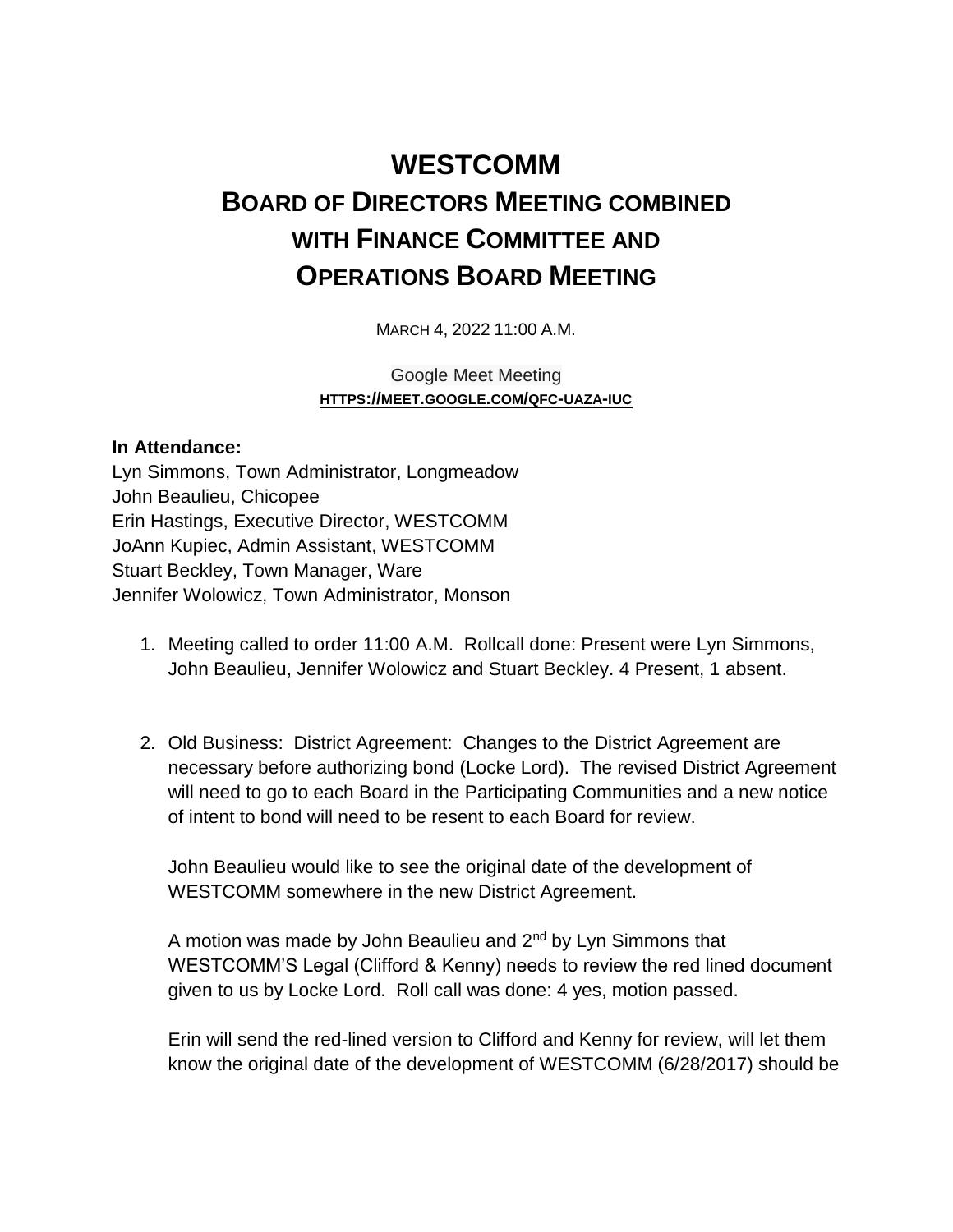## **WESTCOMM BOARD OF DIRECTORS MEETING COMBINED WITH FINANCE COMMITTEE AND OPERATIONS BOARD MEETING**

MARCH 4, 2022 11:00 A.M.

Google Meet Meeting **HTTPS://MEET.GOOGLE.COM/QFC-UAZA-IUC**

## **In Attendance:**

Lyn Simmons, Town Administrator, Longmeadow John Beaulieu, Chicopee Erin Hastings, Executive Director, WESTCOMM JoAnn Kupiec, Admin Assistant, WESTCOMM Stuart Beckley, Town Manager, Ware Jennifer Wolowicz, Town Administrator, Monson

- 1. Meeting called to order 11:00 A.M. Rollcall done: Present were Lyn Simmons, John Beaulieu, Jennifer Wolowicz and Stuart Beckley. 4 Present, 1 absent.
- 2. Old Business: District Agreement: Changes to the District Agreement are necessary before authorizing bond (Locke Lord). The revised District Agreement will need to go to each Board in the Participating Communities and a new notice of intent to bond will need to be resent to each Board for review.

John Beaulieu would like to see the original date of the development of WESTCOMM somewhere in the new District Agreement.

A motion was made by John Beaulieu and  $2<sup>nd</sup>$  by Lyn Simmons that WESTCOMM'S Legal (Clifford & Kenny) needs to review the red lined document given to us by Locke Lord. Roll call was done: 4 yes, motion passed.

Erin will send the red-lined version to Clifford and Kenny for review, will let them know the original date of the development of WESTCOMM (6/28/2017) should be